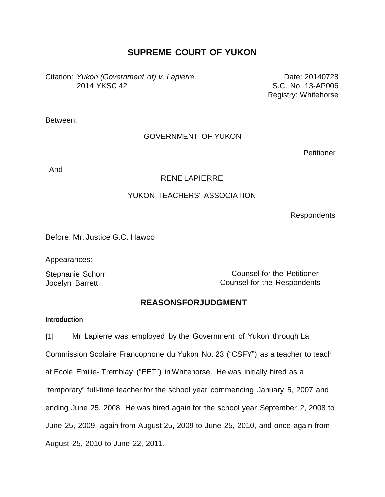# **SUPREME COURT OF YUKON**

Citation: *Yukon (Government of) v. Lapierre,* Date: 20140728 2014 YKSC 42 S.C. No. 13-AP006

Registry: Whitehorse

Between:

## GOVERNMENT OF YUKON

**Petitioner** 

And

#### RENE LAPIERRE

# YUKON TEACHERS' ASSOCIATION

Respondents

Before: Mr. Justice G.C. Hawco

Appearances:

Stephanie Schorr Jocelyn Barrett

Counsel for the Petitioner Counsel for the Respondents

# **REASONSFORJUDGMENT**

#### **Introduction**

[1] Mr Lapierre was employed by the Government of Yukon through La Commission Scolaire Francophone du Yukon No. 23 ("CSFY") as a teacher to teach at Ecole Emilie- Tremblay ("EET") in Whitehorse. He was initially hired as a "temporary" full-time teacher for the school year commencing January 5, 2007 and ending June 25, 2008. He was hired again for the school year September 2, 2008 to June 25, 2009, again from August 25, 2009 to June 25, 2010, and once again from August 25, 2010 to June 22, 2011.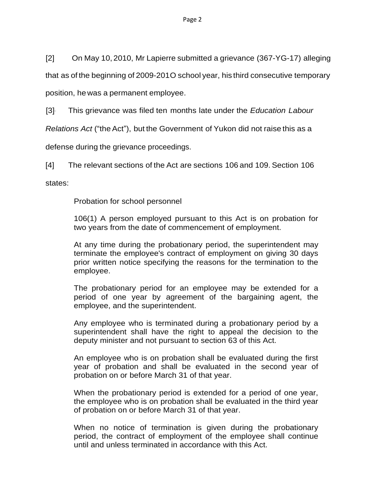[2] On May 10, 2010, Mr Lapierre submitted a grievance (367-YG-17) alleging

that as of the beginning of 2009-201O school year, his third consecutive temporary

position, he was a permanent employee.

[3]- This grievance was filed ten months late under the *Education Labour*

*Relations Act* ("the Act"), but the Government of Yukon did not raise this as a

defense during the grievance proceedings.

[4] The relevant sections of the Act are sections 106 and 109. Section 106

states:

Probation for school personnel

106(1) A person employed pursuant to this Act is on probation for two years from the date of commencement of employment.

At any time during the probationary period, the superintendent may terminate the employee's contract of employment on giving 30 days prior written notice specifying the reasons for the termination to the employee.

The probationary period for an employee may be extended for a period of one year by agreement of the bargaining agent, the employee, and the superintendent.

Any employee who is terminated during a probationary period by a superintendent shall have the right to appeal the decision to the deputy minister and not pursuant to section 63 of this Act.

An employee who is on probation shall be evaluated during the first year of probation and shall be evaluated in the second year of probation on or before March 31 of that year.

When the probationary period is extended for a period of one year, the employee who is on probation shall be evaluated in the third year of probation on or before March 31 of that year.

When no notice of termination is given during the probationary period, the contract of employment of the employee shall continue until and unless terminated in accordance with this Act.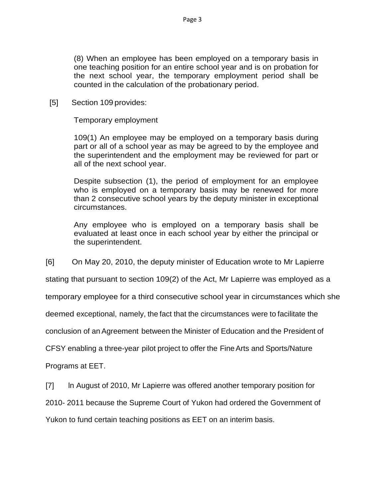(8) When an employee has been employed on a temporary basis in one teaching position for an entire school year and is on probation for the next school year, the temporary employment period shall be counted in the calculation of the probationary period.

[5] Section 109 provides:

Temporary employment

109(1) An employee may be employed on a temporary basis during part or all of a school year as may be agreed to by the employee and the superintendent and the employment may be reviewed for part or all of the next school year.

Despite subsection (1), the period of employment for an employee who is employed on a temporary basis may be renewed for more than 2 consecutive school years by the deputy minister in exceptional circumstances.

Any employee who is employed on a temporary basis shall be evaluated at least once in each school year by either the principal or the superintendent.

[6] On May 20, 2010, the deputy minister of Education wrote to Mr Lapierre

stating that pursuant to section 109(2) of the Act, Mr Lapierre was employed as a

temporary employee for a third consecutive school year in circumstances which she

deemed exceptional, namely, the fact that the circumstances were to facilitate the

conclusion of anAgreement between the Minister of Education and the President of

CFSY enabling a three-year pilot project to offer the FineArts and Sports/Nature

Programs at EET.

[7] ln August of 2010, Mr Lapierre was offered another temporary position for

2010- 2011 because the Supreme Court of Yukon had ordered the Government of

Yukon to fund certain teaching positions as EET on an interim basis.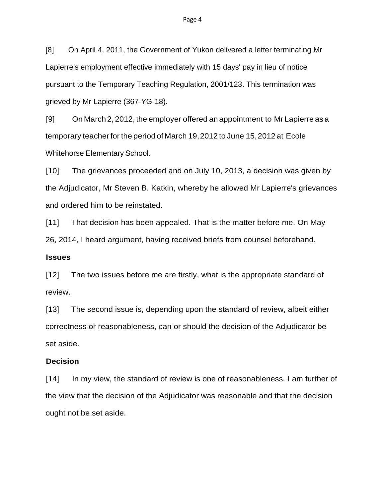[8] On April 4, 2011, the Government of Yukon delivered a letter terminating Mr Lapierre's employment effective immediately with 15 days' pay in lieu of notice pursuant to the Temporary Teaching Regulation, 2001/123. This termination was grieved by Mr Lapierre (367-YG-18).

[9] On March 2, 2012, the employer offered an appointment to Mr Lapierre as a temporary teacher for the period of March 19, 2012 to June 15, 2012 at Ecole Whitehorse Elementary School.

[10] The grievances proceeded and on July 10, 2013, a decision was given by the Adjudicator, Mr Steven B. Katkin, whereby he allowed Mr Lapierre's grievances and ordered him to be reinstated.

[11] That decision has been appealed. That is the matter before me. On May 26, 2014, I heard argument, having received briefs from counsel beforehand.

#### **Issues**

[12] The two issues before me are firstly, what is the appropriate standard of review.

[13] The second issue is, depending upon the standard of review, albeit either correctness or reasonableness, can or should the decision of the Adjudicator be set aside.

#### **Decision**

[14] In my view, the standard of review is one of reasonableness. I am further of the view that the decision of the Adjudicator was reasonable and that the decision ought not be set aside.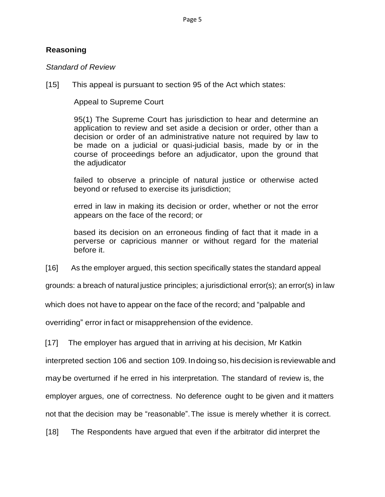# **Reasoning**

# *Standard of Review*

[15] This appeal is pursuant to section 95 of the Act which states:

Appeal to Supreme Court

95(1) The Supreme Court has jurisdiction to hear and determine an application to review and set aside a decision or order, other than a decision or order of an administrative nature not required by law to be made on a judicial or quasi-judicial basis, made by or in the course of proceedings before an adjudicator, upon the ground that the adjudicator

failed to observe a principle of natural justice or otherwise acted beyond or refused to exercise its jurisdiction;

erred in law in making its decision or order, whether or not the error appears on the face of the record; or

based its decision on an erroneous finding of fact that it made in a perverse or capricious manner or without regard for the material before it.

[16] As the employer argued, this section specifically states the standard appeal

grounds: a breach of natural justice principles; a jurisdictional error(s); an error(s) in law

which does not have to appear on the face of the record; and "palpable and

overriding" error in fact or misapprehension of the evidence.

[17] The employer has argued that in arriving at his decision, Mr Katkin

interpreted section 106 and section 109. Indoing so, hisdecision is reviewable and

may be overturned if he erred in his interpretation. The standard of review is, the

employer argues, one of correctness. No deference ought to be given and it matters

not that the decision may be "reasonable".The issue is merely whether it is correct.

[18] The Respondents have argued that even if the arbitrator did interpret the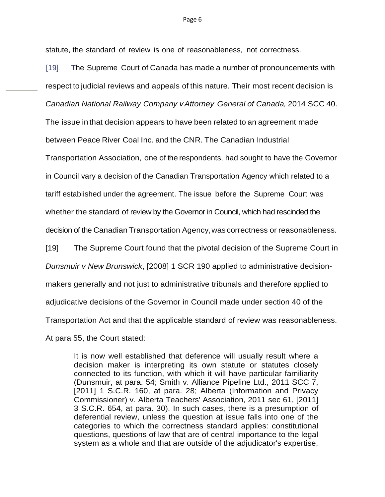statute, the standard of review is one of reasonableness, not correctness.

[19] The Supreme Court of Canada has made a number of pronouncements with respect to judicial reviews and appeals of this nature. Their most recent decision is *Canadian National Railway Company vAttorney General of Canada,* 2014 SCC 40.

The issue in that decision appears to have been related to an agreement made

between Peace River Coal Inc. and the CNR. The Canadian Industrial

Transportation Association, one of the respondents, had sought to have the Governor

in Council vary a decision of the Canadian Transportation Agency which related to a

tariff established under the agreement. The issue before the Supreme Court was

whether the standard of review by the Governor in Council, which had rescinded the

decision of the Canadian Transportation Agency,was correctness or reasonableness.

[19] The Supreme Court found that the pivotal decision of the Supreme Court in

*Dunsmuir v New Brunswick*, [2008] 1 SCR 190 applied to administrative decision-

makers generally and not just to administrative tribunals and therefore applied to

adjudicative decisions of the Governor in Council made under section 40 of the

Transportation Act and that the applicable standard of review was reasonableness.

At para 55, the Court stated:

It is now well established that deference will usually result where a decision maker is interpreting its own statute or statutes closely connected to its function, with which it will have particular familiarity (Dunsmuir, at para. 54; Smith v. Alliance Pipeline Ltd., 2011 SCC 7, [2011] 1 S.C.R. 160, at para. 28; Alberta (Information and Privacy Commissioner) v. Alberta Teachers' Association, 2011 sec 61, [2011] 3 S.C.R. 654, at para. 30). In such cases, there is a presumption of deferential review, unless the question at issue falls into one of the categories to which the correctness standard applies: constitutional questions, questions of law that are of central importance to the legal system as a whole and that are outside of the adjudicator's expertise,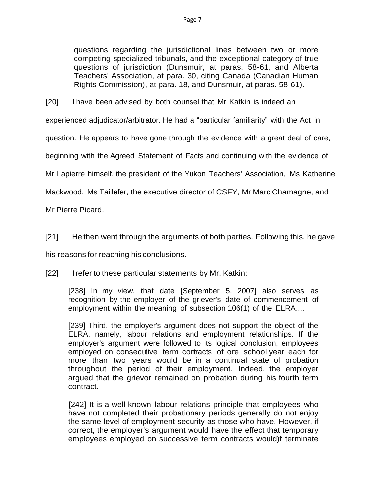questions regarding the jurisdictional lines between two or more competing specialized tribunals, and the exceptional category of true questions of jurisdiction (Dunsmuir, at paras. 58-61, and Alberta Teachers' Association, at para. 30, citing Canada (Canadian Human Rights Commission), at para. 18, and Dunsmuir, at paras. 58-61).

[20] I have been advised by both counsel that Mr Katkin is indeed an

experienced adjudicator/arbitrator. He had a "particular familiarity" with the Act in

question. He appears to have gone through the evidence with a great deal of care,

beginning with the Agreed Statement of Facts and continuing with the evidence of

Mr Lapierre himself, the president of the Yukon Teachers' Association, Ms Katherine

Mackwood, Ms Taillefer, the executive director of CSFY, Mr Marc Chamagne, and

Mr Pierre Picard.

[21] He then went through the arguments of both parties. Following this, he gave

his reasons for reaching his conclusions.

[22] Irefer to these particular statements by Mr. Katkin:

[238] In my view, that date [September 5, 2007] also serves as recognition by the employer of the griever's date of commencement of employment within the meaning of subsection 106(1) of the ELRA....

[239] Third, the employer's argument does not support the object of the ELRA, namely, labour relations and employment relationships. If the employer's argument were followed to its logical conclusion, employees employed on consecutive term contracts of one school year each for more than two years would be in a continual state of probation throughout the period of their employment. Indeed, the employer argued that the grievor remained on probation during his fourth term contract.

[242] It is a well-known labour relations principle that employees who have not completed their probationary periods generally do not enjoy the same level of employment security as those who have. However, if correct, the employer's argument would have the effect that temporary employees employed on successive term contracts would)f terminate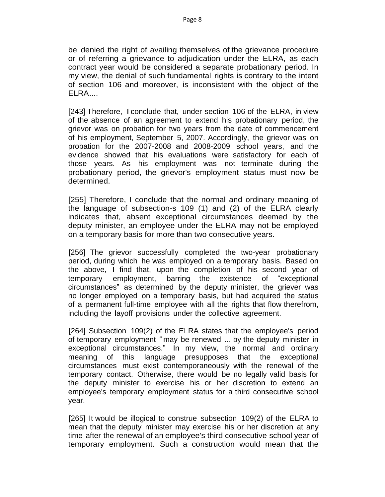be denied the right of availing themselves of the grievance procedure or of referring a grievance to adjudication under the ELRA, as each contract year would be considered a separate probationary period. In my view, the denial of such fundamental rights is contrary to the intent of section 106 and moreover, is inconsistent with the object of the ELRA....

[243] Therefore, I conclude that, under section 106 of the ELRA, in view of the absence of an agreement to extend his probationary period, the grievor was on probation for two years from the date of commencement of his employment, September 5, 2007. Accordingly, the grievor was on probation for the 2007-2008 and 2008-2009 school years, and the evidence showed that his evaluations were satisfactory for each of those years. As his employment was not terminate during the probationary period, the grievor's employment status must now be determined.

[255] Therefore, I conclude that the normal and ordinary meaning of the language of subsection-s 109 (1) and (2) of the ELRA clearly indicates that, absent exceptional circumstances deemed by the deputy minister, an employee under the ELRA may not be employed on a temporary basis for more than two consecutive years.

[256] The grievor successfully completed the two-year probationary period, during which he was employed on a temporary basis. Based on the above, I find that, upon the completion of his second year of temporary employment, barring the existence of "exceptional circumstances" as determined by the deputy minister, the griever was no longer employed on a temporary basis, but had acquired the status of a permanent full-time employee with all the rights that flow therefrom, including the layoff provisions under the collective agreement.

[264] Subsection 109(2) of the ELRA states that the employee's period of temporary employment " may be renewed ... by the deputy minister in exceptional circumstances." In my view, the normal and ordinary meaning of this language presupposes that the exceptional circumstances must exist contemporaneously with the renewal of the temporary contact. Otherwise, there would be no legally valid basis for the deputy minister to exercise his or her discretion to extend an employee's temporary employment status for a third consecutive school year.

[265] It would be illogical to construe subsection 109(2) of the ELRA to mean that the deputy minister may exercise his or her discretion at any time after the renewal of an employee's third consecutive school year of temporary employment. Such a construction would mean that the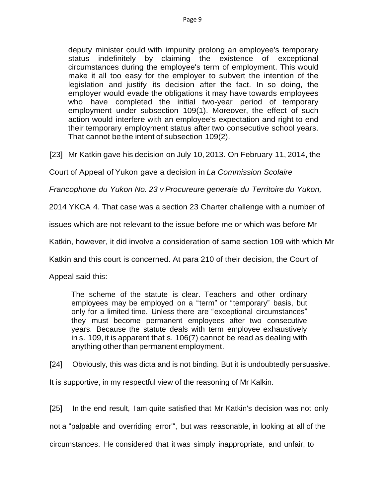deputy minister could with impunity prolong an employee's temporary status indefinitely by claiming the existence of exceptional circumstances during the employee's term of employment. This would make it all too easy for the employer to subvert the intention of the legislation and justify its decision after the fact. In so doing, the employer would evade the obligations it may have towards employees who have completed the initial two-year period of temporary employment under subsection 109(1). Moreover, the effect of such action would interfere with an employee's expectation and right to end their temporary employment status after two consecutive school years. That cannot be the intent of subsection 109(2).

[23] Mr Katkin gave his decision on July 10, 2013. On February 11, 2014, the

Court of Appeal of Yukon gave a decision in *La Commission Scolaire*

*Francophone du Yukon No. 23 v Procureure generale du Territoire du Yukon,*

2014 YKCA 4. That case was a section 23 Charter challenge with a number of

issues which are not relevant to the issue before me or which was before Mr

Katkin, however, it did involve a consideration of same section 109 with which Mr

Katkin and this court is concerned. At para 210 of their decision, the Court of

Appeal said this:

The scheme of the statute is clear. Teachers and other ordinary employees may be employed on a "term" or "temporary" basis, but only for a limited time. Unless there are "exceptional circumstances" they must become permanent employees after two consecutive years. Because the statute deals with term employee exhaustively in s. 109, it is apparent that s. 106(7) cannot be read as dealing with anything other than permanent employment.

[24] Obviously, this was dicta and is not binding. But it is undoubtedly persuasive.

It is supportive, in my respectful view of the reasoning of Mr Kalkin.

[25] In the end result, Iam quite satisfied that Mr Katkin's decision was not only not a "palpable and overriding error'", but was reasonable, in looking at all of the circumstances. He considered that it was simply inappropriate, and unfair, to